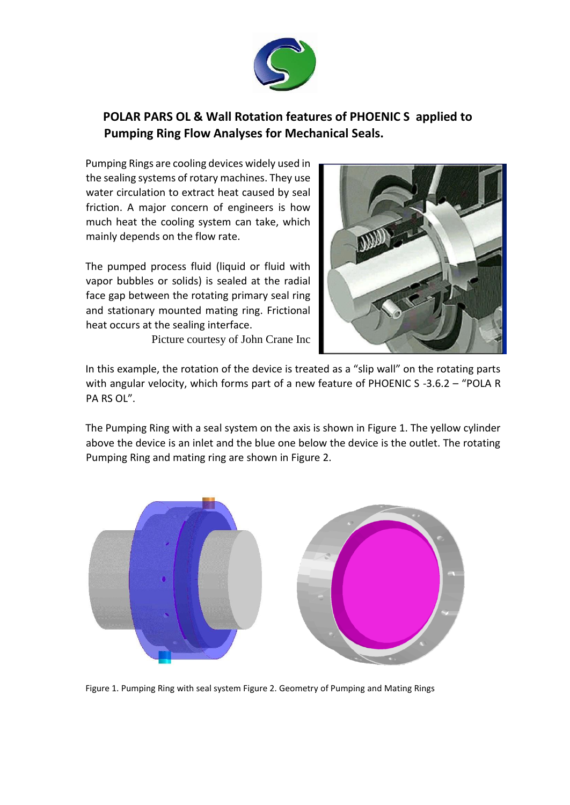

## **POLAR PARS OL & Wall Rotation features of PHOENIC S applied to Pumping Ring Flow Analyses for Mechanical Seals.**

Pumping Rings are cooling devices widely used in the sealing systems of rotary machines. They use water circulation to extract heat caused by seal friction. A major concern of engineers is how much heat the cooling system can take, which mainly depends on the flow rate.

The pumped process fluid (liquid or fluid with vapor bubbles or solids) is sealed at the radial face gap between the rotating primary seal ring and stationary mounted mating ring. Frictional heat occurs at the sealing interface.

Picture courtesy of John Crane Inc



In this example, the rotation of the device is treated as a "slip wall" on the rotating parts with angular velocity, which forms part of a new feature of PHOENIC S -3.6.2 - "POLA R PA RS OL".

The Pumping Ring with a seal system on the axis is shown in Figure 1. The yellow cylinder above the device is an inlet and the blue one below the device is the outlet. The rotating Pumping Ring and mating ring are shown in Figure 2.



Figure 1. Pumping Ring with seal system Figure 2. Geometry of Pumping and Mating Rings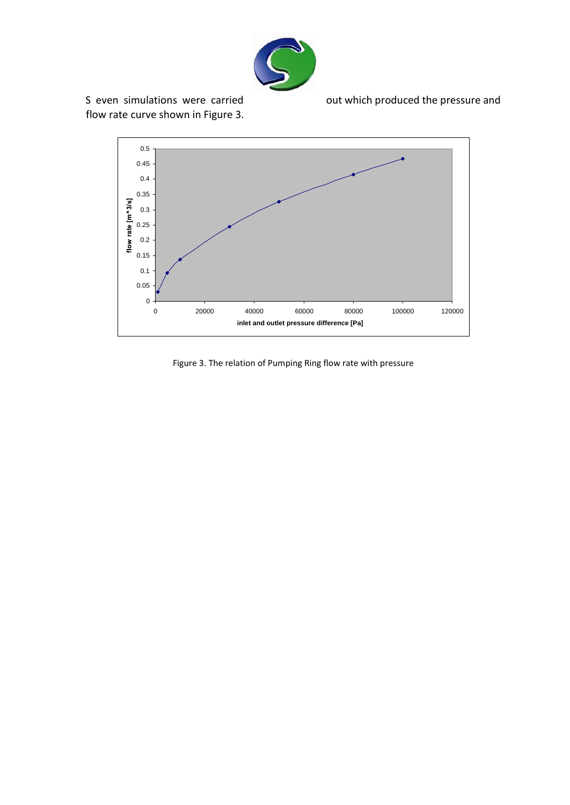

flow rate curve shown in Figure 3.

S even simulations were carried out which produced the pressure and



Figure 3. The relation of Pumping Ring flow rate with pressure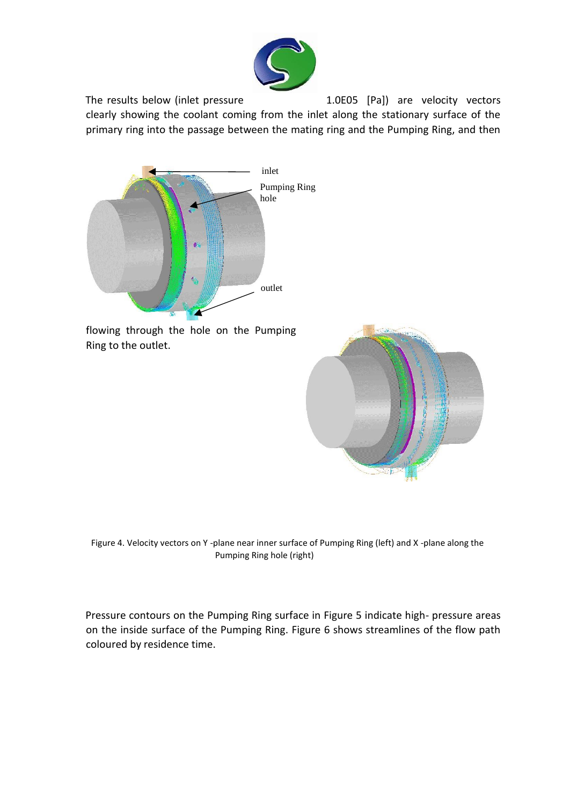

The results below (inlet pressure The results below (inlet pressure and the 1.0E05 [Pa]) are velocity vectors clearly showing the coolant coming from the inlet along the stationary surface of the primary ring into the passage between the mating ring and the Pumping Ring, and then



flowing through the hole on the Pumping Ring to the outlet.



Figure 4. Velocity vectors on Y -plane near inner surface of Pumping Ring (left) and X -plane along the Pumping Ring hole (right)

Pressure contours on the Pumping Ring surface in Figure 5 indicate high- pressure areas on the inside surface of the Pumping Ring. Figure 6 shows streamlines of the flow path coloured by residence time.